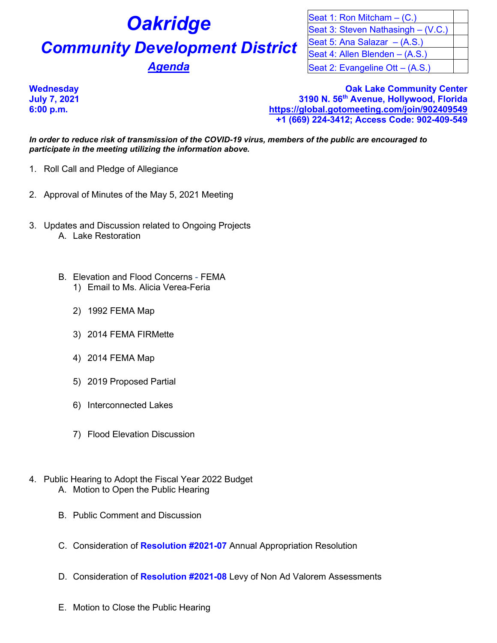# **Oakridge Community Development District** Agenda

| Seat 1: Ron Mitcham $-$ (C.)       |  |
|------------------------------------|--|
| Seat 3: Steven Nathasingh – (V.C.) |  |
| Seat 5: Ana Salazar - (A.S.)       |  |
| Seat 4: Allen Blenden - (A.S.)     |  |
| Seat 2: Evangeline Ott - (A.S.)    |  |

**Case Community Center Community Center Oak Lake Community Center July 7, 2021 3190 N. 56th Avenue, Hollywood, Florida 6:00 p.m. <https://global.gotomeeting.com/join/902409549> +1 (669) 224-3412; Access Code: 902-409-549**

*In order to reduce risk of transmission of the COVID-19 virus, members of the public are encouraged to participate in the meeting utilizing the information above.*

- 1. Roll Call and Pledge of Allegiance
- 2. Approval of Minutes of the May 5, 2021 Meeting
- 3. Updates and Discussion related to Ongoing Projects A. Lake Restoration
	- B. Elevation and Flood Concerns FEMA
		- 1) Email to Ms. Alicia Verea-Feria
		- 2) 1992 FEMA Map
		- 3) 2014 FEMA FIRMette
		- 4) 2014 FEMA Map
		- 5) 2019 Proposed Partial
		- 6) Interconnected Lakes
		- 7) Flood Elevation Discussion
- 4. Public Hearing to Adopt the Fiscal Year 2022 Budget A. Motion to Open the Public Hearing
	- B. Public Comment and Discussion
	- C. Consideration of **Resolution #2021-07** Annual Appropriation Resolution
	- D. Consideration of **Resolution #2021-08** Levy of Non Ad Valorem Assessments
	- E. Motion to Close the Public Hearing